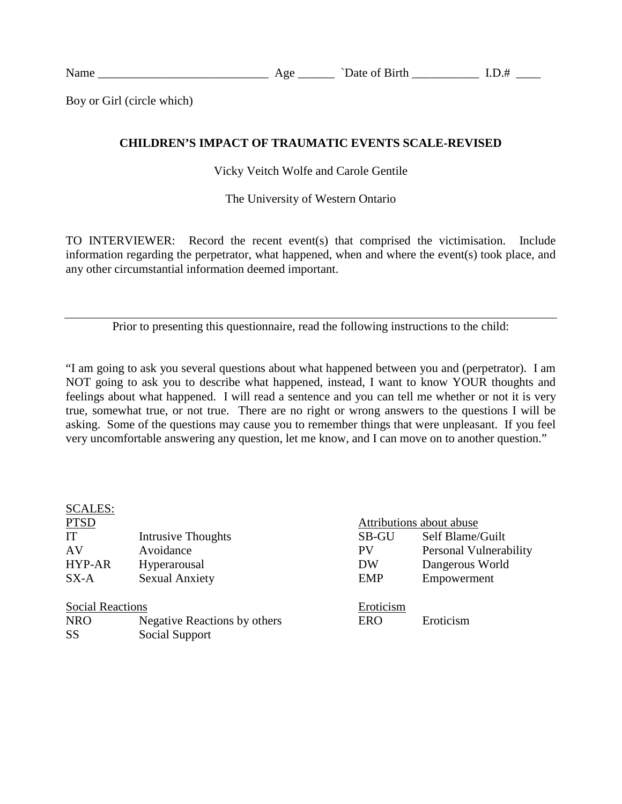Boy or Girl (circle which)

## **CHILDREN'S IMPACT OF TRAUMATIC EVENTS SCALE-REVISED**

Vicky Veitch Wolfe and Carole Gentile

The University of Western Ontario

TO INTERVIEWER: Record the recent event(s) that comprised the victimisation. Include information regarding the perpetrator, what happened, when and where the event(s) took place, and any other circumstantial information deemed important.

Prior to presenting this questionnaire, read the following instructions to the child:

"I am going to ask you several questions about what happened between you and (perpetrator). I am NOT going to ask you to describe what happened, instead, I want to know YOUR thoughts and feelings about what happened. I will read a sentence and you can tell me whether or not it is very true, somewhat true, or not true. There are no right or wrong answers to the questions I will be asking. Some of the questions may cause you to remember things that were unpleasant. If you feel very uncomfortable answering any question, let me know, and I can move on to another question."

| <b>SCALES:</b>          |                              |            |                          |
|-------------------------|------------------------------|------------|--------------------------|
| <b>PTSD</b>             |                              |            | Attributions about abuse |
| IT                      | <b>Intrusive Thoughts</b>    | SB-GU      | Self Blame/Guilt         |
| AV                      | Avoidance                    | <b>PV</b>  | Personal Vulnerability   |
| <b>HYP-AR</b>           | Hyperarousal                 | DW         | Dangerous World          |
| $SX-A$                  | <b>Sexual Anxiety</b>        | <b>EMP</b> | Empowerment              |
| <b>Social Reactions</b> |                              | Eroticism  |                          |
| <b>NRO</b>              | Negative Reactions by others | <b>ERO</b> | Eroticism                |
| <b>SS</b>               | Social Support               |            |                          |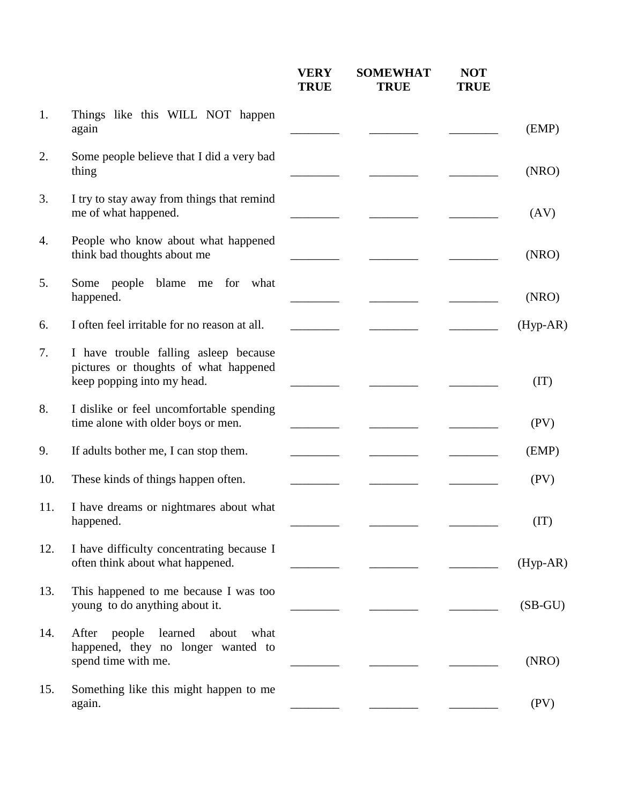|     |                                                                                                              | <b>VERY</b><br><b>TRUE</b> | <b>SOMEWHAT</b><br><b>TRUE</b> | <b>NOT</b><br><b>TRUE</b> |            |
|-----|--------------------------------------------------------------------------------------------------------------|----------------------------|--------------------------------|---------------------------|------------|
| 1.  | Things like this WILL NOT happen<br>again                                                                    |                            |                                |                           | (EMP)      |
| 2.  | Some people believe that I did a very bad<br>thing                                                           |                            |                                |                           | (NRO)      |
| 3.  | I try to stay away from things that remind<br>me of what happened.                                           |                            |                                |                           | (AV)       |
| 4.  | People who know about what happened<br>think bad thoughts about me                                           |                            |                                |                           | (NRO)      |
| 5.  | Some people<br>blame<br>for what<br>me<br>happened.                                                          |                            |                                |                           | (NRO)      |
| 6.  | I often feel irritable for no reason at all.                                                                 |                            |                                |                           | $(Hyp-AR)$ |
| 7.  | I have trouble falling asleep because<br>pictures or thoughts of what happened<br>keep popping into my head. |                            |                                |                           | (IT)       |
| 8.  | I dislike or feel uncomfortable spending<br>time alone with older boys or men.                               |                            |                                |                           | (PV)       |
| 9.  | If adults bother me, I can stop them.                                                                        |                            |                                |                           | (EMP)      |
| 10. | These kinds of things happen often.                                                                          |                            |                                |                           | (PV)       |
| 11. | I have dreams or nightmares about what<br>happened.                                                          |                            |                                |                           | (TT)       |
| 12. | I have difficulty concentrating because I<br>often think about what happened.                                |                            |                                |                           | $(Hyp-AR)$ |
| 13. | This happened to me because I was too<br>young to do anything about it.                                      |                            |                                |                           | $(SB-GU)$  |
| 14. | learned<br>people<br>about<br>After<br>what<br>happened, they no longer wanted to<br>spend time with me.     |                            |                                |                           | (NRO)      |
| 15. | Something like this might happen to me<br>again.                                                             |                            |                                |                           | (PV)       |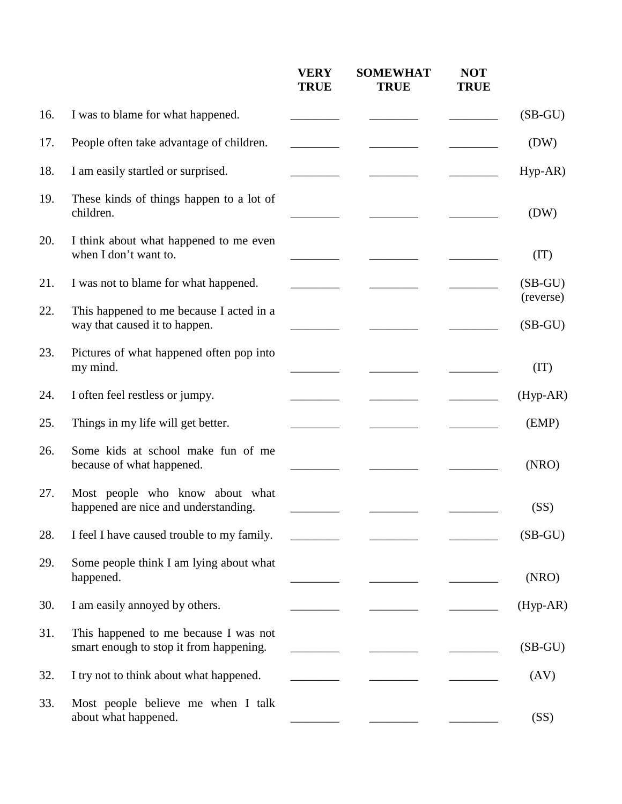|     |                                                                                  | <b>VERY</b><br><b>TRUE</b> | <b>SOMEWHAT</b><br><b>TRUE</b> | <b>NOT</b><br><b>TRUE</b> |                        |
|-----|----------------------------------------------------------------------------------|----------------------------|--------------------------------|---------------------------|------------------------|
| 16. | I was to blame for what happened.                                                |                            |                                |                           | $(SB-GU)$              |
| 17. | People often take advantage of children.                                         |                            |                                |                           | (DW)                   |
| 18. | I am easily startled or surprised.                                               |                            |                                |                           | $Hyp-AR$ )             |
| 19. | These kinds of things happen to a lot of<br>children.                            |                            |                                |                           | (DW)                   |
| 20. | I think about what happened to me even<br>when I don't want to.                  |                            |                                |                           | (IT)                   |
| 21. | I was not to blame for what happened.                                            |                            |                                |                           | $(SB-GU)$              |
| 22. | This happened to me because I acted in a<br>way that caused it to happen.        |                            |                                |                           | (reverse)<br>$(SB-GU)$ |
| 23. | Pictures of what happened often pop into<br>my mind.                             |                            |                                |                           | (TT)                   |
| 24. | I often feel restless or jumpy.                                                  |                            |                                |                           | (Hyp-AR)               |
| 25. | Things in my life will get better.                                               |                            |                                |                           | (EMP)                  |
| 26. | Some kids at school make fun of me<br>because of what happened.                  |                            |                                |                           | (NRO)                  |
| 27. | Most people who know about what<br>happened are nice and understanding.          |                            |                                |                           | (SS)                   |
| 28. | I feel I have caused trouble to my family.                                       |                            |                                |                           | $(SB-GU)$              |
| 29. | Some people think I am lying about what<br>happened.                             |                            |                                |                           | (NRO)                  |
| 30. | I am easily annoyed by others.                                                   |                            |                                |                           | $(Hyp-AR)$             |
| 31. | This happened to me because I was not<br>smart enough to stop it from happening. |                            |                                |                           | $(SB-GU)$              |
| 32. | I try not to think about what happened.                                          |                            |                                |                           | (AV)                   |
| 33. | Most people believe me when I talk<br>about what happened.                       |                            |                                |                           | (SS)                   |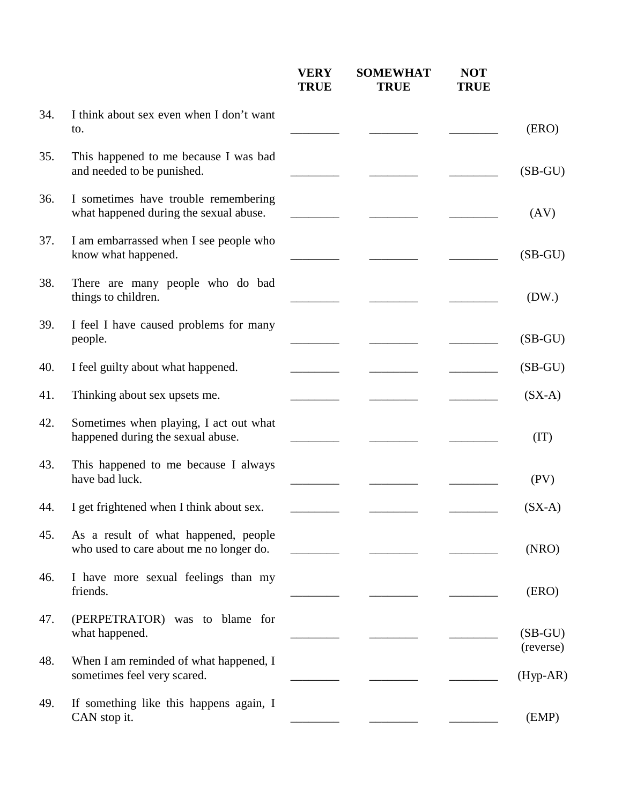|     |                                                                                 | <b>VERY</b><br><b>TRUE</b> | <b>SOMEWHAT</b><br><b>TRUE</b> | <b>NOT</b><br><b>TRUE</b> |                        |
|-----|---------------------------------------------------------------------------------|----------------------------|--------------------------------|---------------------------|------------------------|
| 34. | I think about sex even when I don't want<br>to.                                 |                            |                                |                           | (ERO)                  |
| 35. | This happened to me because I was bad<br>and needed to be punished.             |                            |                                |                           | $(SB-GU)$              |
| 36. | I sometimes have trouble remembering<br>what happened during the sexual abuse.  |                            |                                |                           | (AV)                   |
| 37. | I am embarrassed when I see people who<br>know what happened.                   |                            |                                |                           | $(SB-GU)$              |
| 38. | There are many people who do bad<br>things to children.                         |                            |                                |                           | (DW.)                  |
| 39. | I feel I have caused problems for many<br>people.                               |                            |                                |                           | $(SB-GU)$              |
| 40. | I feel guilty about what happened.                                              |                            |                                |                           | $(SB-GU)$              |
| 41. | Thinking about sex upsets me.                                                   |                            |                                |                           | $(SX-A)$               |
| 42. | Sometimes when playing, I act out what<br>happened during the sexual abuse.     |                            |                                |                           | (IT)                   |
| 43. | This happened to me because I always<br>have bad luck.                          |                            |                                |                           | (PV)                   |
| 44. | I get frightened when I think about sex.                                        |                            |                                |                           | $(SX-A)$               |
| 45. | As a result of what happened, people<br>who used to care about me no longer do. |                            |                                |                           | (NRO)                  |
| 46. | I have more sexual feelings than my<br>friends.                                 |                            |                                |                           | (ERO)                  |
| 47. | (PERPETRATOR) was to blame for<br>what happened.                                |                            |                                |                           | $(SB-GU)$<br>(reverse) |
| 48. | When I am reminded of what happened, I<br>sometimes feel very scared.           |                            |                                |                           | $(Hyp-AR)$             |
| 49. | If something like this happens again, I<br>CAN stop it.                         |                            |                                |                           | (EMP)                  |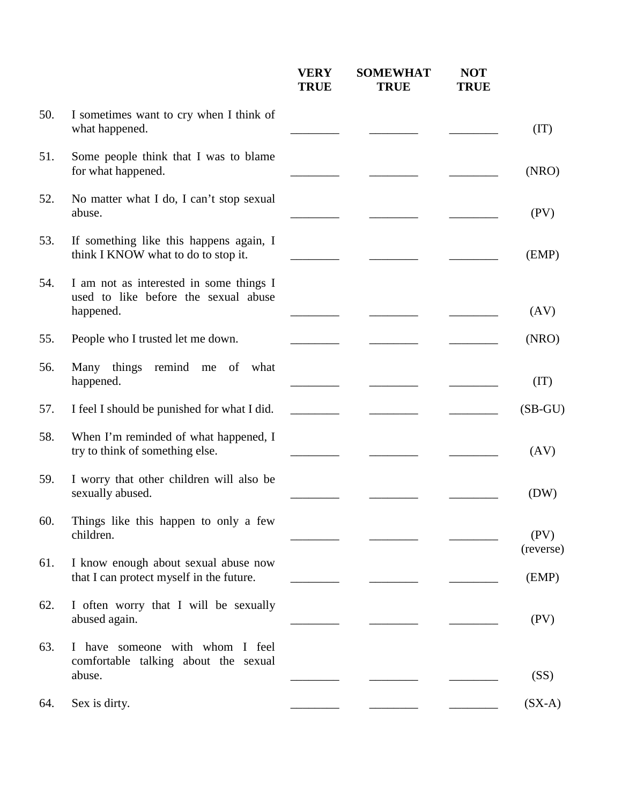|     |                                                                                              | <b>VERY</b><br><b>TRUE</b> | <b>SOMEWHAT</b><br><b>TRUE</b> | <b>NOT</b><br><b>TRUE</b> |                   |
|-----|----------------------------------------------------------------------------------------------|----------------------------|--------------------------------|---------------------------|-------------------|
| 50. | I sometimes want to cry when I think of<br>what happened.                                    |                            |                                |                           | (IT)              |
| 51. | Some people think that I was to blame<br>for what happened.                                  |                            |                                |                           | (NRO)             |
| 52. | No matter what I do, I can't stop sexual<br>abuse.                                           |                            |                                |                           | (PV)              |
| 53. | If something like this happens again, I<br>think I KNOW what to do to stop it.               |                            |                                |                           | (EMP)             |
| 54. | I am not as interested in some things I<br>used to like before the sexual abuse<br>happened. |                            |                                |                           | (AV)              |
| 55. | People who I trusted let me down.                                                            |                            |                                |                           | (NRO)             |
| 56. | Many things remind me of what<br>happened.                                                   |                            |                                |                           | (IT)              |
| 57. | I feel I should be punished for what I did.                                                  |                            |                                |                           | $(SB-GU)$         |
| 58. | When I'm reminded of what happened, I<br>try to think of something else.                     |                            |                                |                           | (AV)              |
| 59. | I worry that other children will also be<br>sexually abused.                                 |                            |                                |                           | (DW)              |
| 60. | Things like this happen to only a few<br>children.                                           |                            |                                |                           | (PV)<br>(reverse) |
| 61. | I know enough about sexual abuse now<br>that I can protect myself in the future.             |                            |                                |                           | (EMP)             |
| 62. | I often worry that I will be sexually<br>abused again.                                       |                            |                                |                           | (PV)              |
| 63. | I have someone with whom I feel<br>comfortable talking about the sexual                      |                            |                                |                           |                   |
|     | abuse.                                                                                       |                            |                                |                           | (SS)              |
| 64. | Sex is dirty.                                                                                |                            |                                |                           | $(SX-A)$          |